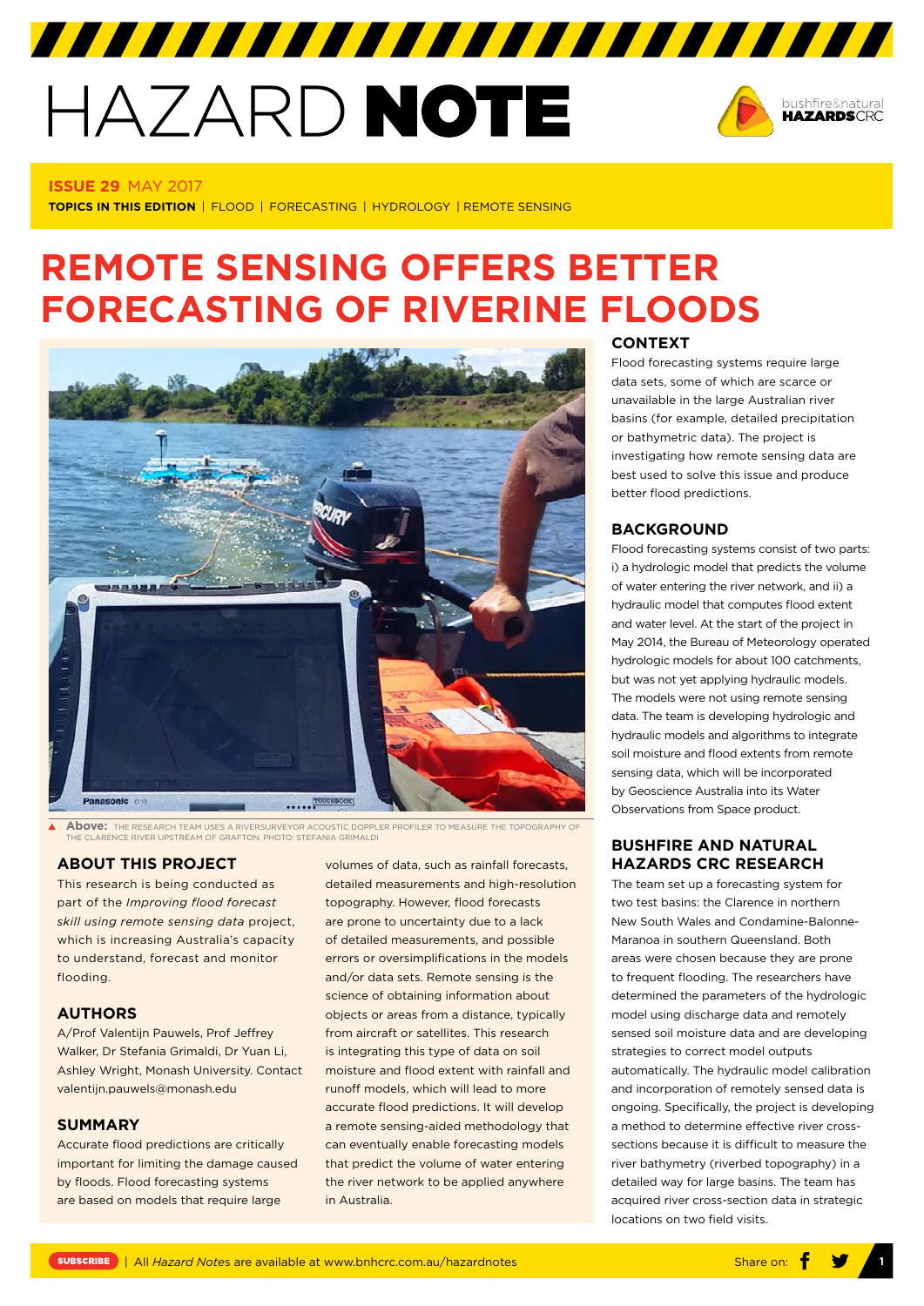# HAZARD NOTE



#### **ISSUE 29** MAY 2017

**TOPICS IN THIS EDITION** | FLOOD | FORECASTING | HYDROLOGY | REMOTE SENSING

# **REMOTE SENSING OFFERS BETTER FORECASTING OF RIVERINE FLOODS**



**Above:** THE RESEARCH TEAM USES A RIVERSURVEYOR ACOUSTIC DOPPLER PROFILER TO MEASURE THE TOPOGRAPHY OF THE CLARENCE RIVER UPSTREAM OF GRAFTON. PHOTO: STEFANIA GRIMALDI

# **ABOUT THIS PROJECT**

This research is being conducted as part of the *[Improving flood forecast](http://www.bnhcrc.com.au/research/understanding-mitigating-hazards/258)  [skill using remote sensing data](http://www.bnhcrc.com.au/research/understanding-mitigating-hazards/258)* project, which is increasing Australia's capacity to understand, forecast and monitor flooding.

#### **AUTHORS**

A/Prof Valentijn Pauwels, Prof Jeffrey Walker, Dr Stefania Grimaldi, Dr Yuan Li, Ashley Wright, Monash University. Contact valentijn.pauwels@monash.edu

### **SUMMARY**

Accurate flood predictions are critically important for limiting the damage caused by floods. Flood forecasting systems are based on models that require large

volumes of data, such as rainfall forecasts, detailed measurements and high-resolution topography. However, flood forecasts are prone to uncertainty due to a lack of detailed measurements, and possible errors or oversimplifications in the models and/or data sets. Remote sensing is the science of obtaining information about objects or areas from a distance, typically from aircraft or satellites. This research is integrating this type of data on soil moisture and flood extent with rainfall and runoff models, which will lead to more accurate flood predictions. It will develop a remote sensing-aided methodology that can eventually enable forecasting models that predict the volume of water entering the river network to be applied anywhere in Australia.

#### **CONTEXT**

Flood forecasting systems require large data sets, some of which are scarce or unavailable in the large Australian river basins (for example, detailed precipitation or bathymetric data). The project is investigating how remote sensing data are best used to solve this issue and produce better flood predictions.

# **BACKGROUND**

Flood forecasting systems consist of two parts: i) a hydrologic model that predicts the volume of water entering the river network, and ii) a hydraulic model that computes flood extent and water level. At the start of the project in May 2014, the Bureau of Meteorology operated hydrologic models for about 100 catchments, but was not yet applying hydraulic models. The models were not using remote sensing data. The team is developing hydrologic and hydraulic models and algorithms to integrate soil moisture and flood extents from remote sensing data, which will be incorporated by Geoscience Australia into its Water Observations from Space product.

# **BUSHFIRE AND NATURAL HAZARDS CRC RESEARCH**

The team set up a forecasting system for two test basins: the Clarence in northern New South Wales and Condamine-Balonne-Maranoa in southern Queensland. Both areas were chosen because they are prone to frequent flooding. The researchers have determined the parameters of the hydrologic model using discharge data and remotely sensed soil moisture data and are developing strategies to correct model outputs automatically. The hydraulic model calibration and incorporation of remotely sensed data is ongoing. Specifically, the project is developing a method to determine effective river crosssections because it is difficult to measure the river bathymetry (riverbed topography) in a detailed way for large basins. The team has acquired river cross-section data in strategic locations on two field visits.